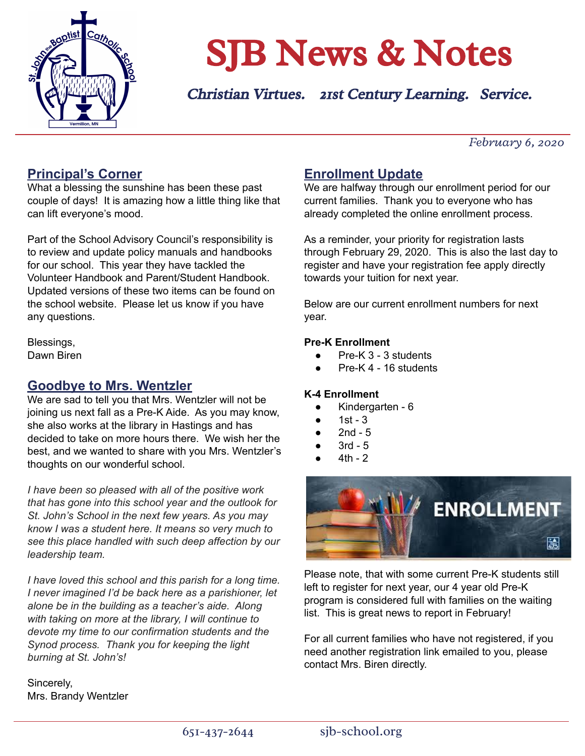

# SJB News & Notes

Christian Virtues. 21st Century Learning. Service.

*February 6, 2020*

#### **Principal's Corner**

What a blessing the sunshine has been these past couple of days! It is amazing how a little thing like that can lift everyone's mood.

Part of the School Advisory Council's responsibility is to review and update policy manuals and handbooks for our school. This year they have tackled the Volunteer Handbook and Parent/Student Handbook. Updated versions of these two items can be found on the school website. Please let us know if you have any questions.

Blessings, Dawn Biren

#### **Goodbye to Mrs. Wentzler**

We are sad to tell you that Mrs. Wentzler will not be joining us next fall as a Pre-K Aide. As you may know, she also works at the library in Hastings and has decided to take on more hours there. We wish her the best, and we wanted to share with you Mrs. Wentzler's thoughts on our wonderful school.

*I have been so pleased with all of the positive work that has gone into this school year and the outlook for St. John's School in the next few years. As you may know I was a student here. It means so very much to see this place handled with such deep affection by our leadership team.*

*I have loved this school and this parish for a long time. I never imagined I'd be back here as a parishioner, let alone be in the building as a teacher's aide. Along with taking on more at the library, I will continue to devote my time to our confirmation students and the Synod process. Thank you for keeping the light burning at St. John's!*

Sincerely, Mrs. Brandy Wentzler

#### **Enrollment Update**

We are halfway through our enrollment period for our current families. Thank you to everyone who has already completed the online enrollment process.

As a reminder, your priority for registration lasts through February 29, 2020. This is also the last day to register and have your registration fee apply directly towards your tuition for next year.

Below are our current enrollment numbers for next year.

#### **Pre-K Enrollment**

- Pre-K 3 3 students
- Pre-K  $4 16$  students

#### **K-4 Enrollment**

- Kindergarten 6
- $1st 3$
- $2nd 5$
- $3rd 5$
- $4th 2$



Please note, that with some current Pre-K students still left to register for next year, our 4 year old Pre-K program is considered full with families on the waiting list. This is great news to report in February!

For all current families who have not registered, if you need another registration link emailed to you, please contact Mrs. Biren directly.